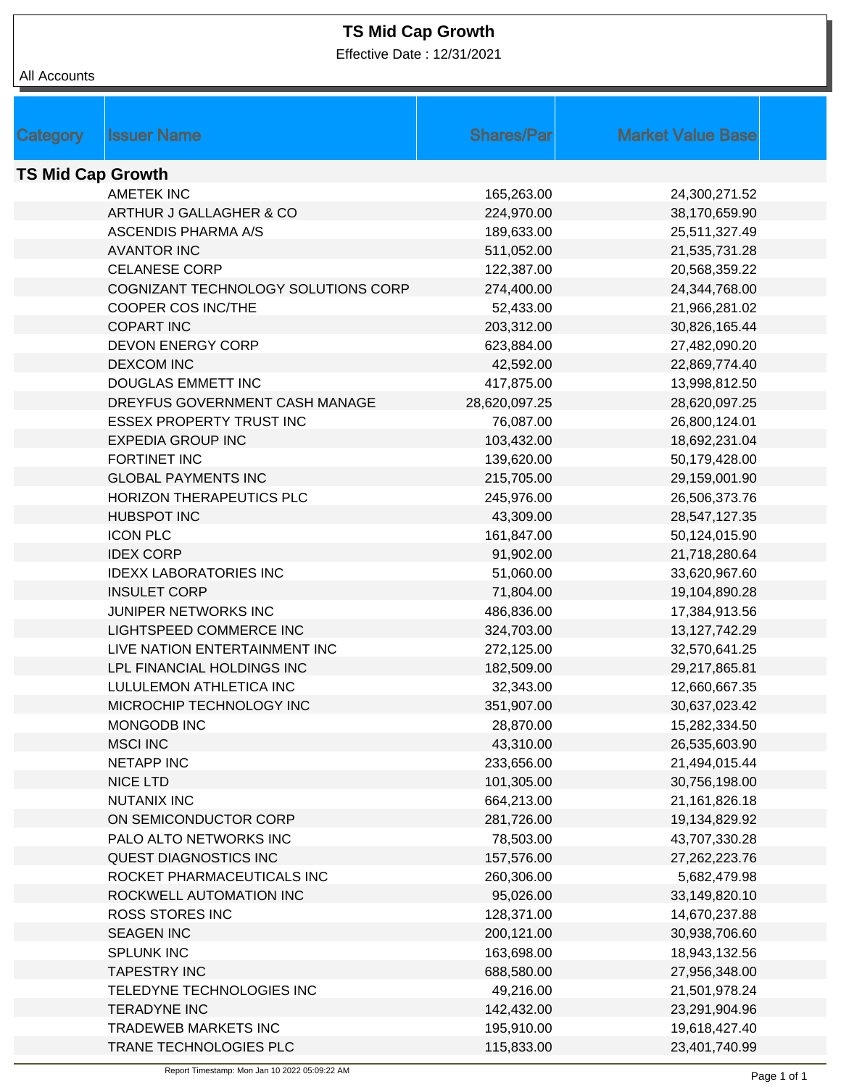## **TS Mid Cap Growth**

Effective Date : 12/31/2021

| All Accounts             |                                     |                   |                          |  |  |
|--------------------------|-------------------------------------|-------------------|--------------------------|--|--|
|                          |                                     |                   |                          |  |  |
|                          |                                     |                   |                          |  |  |
| Category                 | <b>Issuer Name</b>                  | <b>Shares/Par</b> | <b>Market Value Base</b> |  |  |
|                          |                                     |                   |                          |  |  |
| <b>TS Mid Cap Growth</b> |                                     |                   |                          |  |  |
|                          | <b>AMETEK INC</b>                   | 165,263.00        | 24,300,271.52            |  |  |
|                          | ARTHUR J GALLAGHER & CO             | 224,970.00        | 38,170,659.90            |  |  |
|                          | <b>ASCENDIS PHARMA A/S</b>          | 189,633.00        | 25,511,327.49            |  |  |
|                          | <b>AVANTOR INC</b>                  | 511,052.00        | 21,535,731.28            |  |  |
|                          | <b>CELANESE CORP</b>                | 122,387.00        | 20,568,359.22            |  |  |
|                          | COGNIZANT TECHNOLOGY SOLUTIONS CORP | 274,400.00        | 24,344,768.00            |  |  |
|                          | COOPER COS INC/THE                  | 52,433.00         | 21,966,281.02            |  |  |
|                          | <b>COPART INC</b>                   | 203,312.00        | 30,826,165.44            |  |  |
|                          | <b>DEVON ENERGY CORP</b>            | 623,884.00        | 27,482,090.20            |  |  |
|                          | <b>DEXCOM INC</b>                   | 42,592.00         | 22,869,774.40            |  |  |
|                          | DOUGLAS EMMETT INC                  | 417,875.00        | 13,998,812.50            |  |  |
|                          | DREYFUS GOVERNMENT CASH MANAGE      | 28,620,097.25     | 28,620,097.25            |  |  |
|                          | <b>ESSEX PROPERTY TRUST INC</b>     | 76,087.00         | 26,800,124.01            |  |  |
|                          | <b>EXPEDIA GROUP INC</b>            | 103,432.00        | 18,692,231.04            |  |  |
|                          | FORTINET INC                        | 139,620.00        | 50,179,428.00            |  |  |
|                          | <b>GLOBAL PAYMENTS INC</b>          | 215,705.00        | 29,159,001.90            |  |  |
|                          | HORIZON THERAPEUTICS PLC            | 245,976.00        | 26,506,373.76            |  |  |
|                          | <b>HUBSPOT INC</b>                  | 43,309.00         | 28,547,127.35            |  |  |
|                          | <b>ICON PLC</b>                     | 161,847.00        | 50,124,015.90            |  |  |
|                          | <b>IDEX CORP</b>                    | 91,902.00         | 21,718,280.64            |  |  |
|                          | <b>IDEXX LABORATORIES INC</b>       | 51,060.00         | 33,620,967.60            |  |  |
|                          | <b>INSULET CORP</b>                 | 71,804.00         | 19,104,890.28            |  |  |
|                          | JUNIPER NETWORKS INC                | 486,836.00        | 17,384,913.56            |  |  |
|                          | LIGHTSPEED COMMERCE INC             | 324,703.00        | 13,127,742.29            |  |  |
|                          | LIVE NATION ENTERTAINMENT INC       | 272,125.00        | 32,570,641.25            |  |  |
|                          | LPL FINANCIAL HOLDINGS INC          | 182,509.00        | 29,217,865.81            |  |  |
|                          | LULULEMON ATHLETICA INC             | 32,343.00         | 12,660,667.35            |  |  |
|                          | MICROCHIP TECHNOLOGY INC            | 351,907.00        | 30,637,023.42            |  |  |
|                          | MONGODB INC                         | 28,870.00         | 15,282,334.50            |  |  |
|                          | <b>MSCI INC</b>                     | 43,310.00         | 26,535,603.90            |  |  |
|                          | <b>NETAPP INC</b>                   | 233,656.00        | 21,494,015.44            |  |  |
|                          | <b>NICE LTD</b>                     | 101,305.00        | 30,756,198.00            |  |  |
|                          | <b>NUTANIX INC</b>                  | 664,213.00        | 21, 161, 826. 18         |  |  |
|                          | ON SEMICONDUCTOR CORP               | 281,726.00        | 19,134,829.92            |  |  |
|                          | PALO ALTO NETWORKS INC              | 78,503.00         | 43,707,330.28            |  |  |
|                          | <b>QUEST DIAGNOSTICS INC</b>        | 157,576.00        | 27,262,223.76            |  |  |
|                          | ROCKET PHARMACEUTICALS INC          | 260,306.00        | 5,682,479.98             |  |  |
|                          | ROCKWELL AUTOMATION INC             | 95,026.00         | 33,149,820.10            |  |  |
|                          | ROSS STORES INC                     | 128,371.00        | 14,670,237.88            |  |  |
|                          | <b>SEAGEN INC</b>                   | 200,121.00        | 30,938,706.60            |  |  |
|                          | SPLUNK INC                          | 163,698.00        | 18,943,132.56            |  |  |
|                          | <b>TAPESTRY INC</b>                 | 688,580.00        | 27,956,348.00            |  |  |
|                          | TELEDYNE TECHNOLOGIES INC           | 49,216.00         | 21,501,978.24            |  |  |
|                          | <b>TERADYNE INC</b>                 | 142,432.00        | 23,291,904.96            |  |  |
|                          | TRADEWEB MARKETS INC                | 195,910.00        | 19,618,427.40            |  |  |
|                          | TRANE TECHNOLOGIES PLC              | 115,833.00        | 23,401,740.99            |  |  |